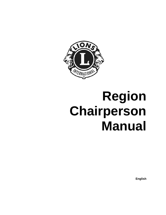

# **Region Chairperson Manual**

**English**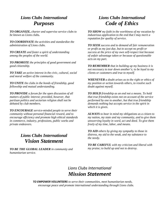# *Lions Clubs International Purposes*

*TO ORGANIZE, charter and supervise service clubs to be known as Lions clubs.*

*TO COORDINATE the activities and standardize the administration of Lions clubs.*

*TO CREATE and foster a spirit of understanding among the peoples of the world.*

*TO PROMOTE the principles of good government and good citizenship.*

*TO TAKE an active interest in the civic, cultural, social and moral welfare of the community.*

*TO UNITE the clubs in the bonds of friendship, good fellowship and mutual understanding.*

*TO PROVIDE a forum for the open discussion of all matters of public interest; provided, however, that partisan politics and sectarian religion shall not be debated by club members.*

*TO ENCOURAGE service-minded people to serve their community without personal financial reward, and to encourage efficiency and promote high ethical standards in commerce, industry, professions, public works and private endeavors.*

# *Lions Clubs International Vision Statement*

*TO BE THE GLOBAL LEADER in community and humanitarian service.*

# *Lions Clubs International Code of Ethics*

*TO SHOW my faith in the worthiness of my vocation by industrious application to the end that I may merit a reputation for quality of service.*

*TO SEEK success and to demand all fair remuneration or profit as my just due, but to accept no profit or success at the price of my own self-respect lost because of unfair advantage taken or because of questionable acts on my part.*

*TO REMEMBER that in building up my business it is not necessary to tear down another's; to be loyal to my clients or customers and true to myself.*

*WHENEVER a doubt arises as to the right or ethics of my position or action towards others, to resolve such doubt against myself.*

*TO HOLD friendship as an end not a means. To hold that true friendship exists not on account of the service performed by one to another, but that true friendship demands nothing but accepts service in the spirit in which it is given.*

*ALWAYS to bear in mind my obligations as a citizen to my nation, my state and my community, and to give them unswerving loyalty in word, act and deed. To give them freely of my time, labor, and means.*

*TO AID others by giving my sympathy to those in distress, my aid to the weak, and my substance to the needy.*

*TO BE CAREFUL with my criticism and liberal with my praise; to build up and not to destroy*.

# *Lions Clubs International Mission Statement*

*TO EMPOWER VOLUNTEERS to serve their communities, meet humanitarian needs, encourage peace and promote international understanding through Lions clubs.*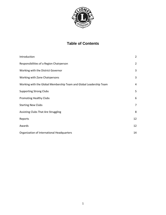

# **Table of Contents**

| Introduction                                                       | $\overline{2}$ |
|--------------------------------------------------------------------|----------------|
| Responsibilities of a Region Chairperson                           | $\overline{2}$ |
| Working with the District Governor                                 | 3              |
| Working with Zone Chairpersons                                     | 3              |
| Working with the Global Membership Team and Global Leadership Team | 4              |
| <b>Supporting Strong Clubs</b>                                     | 5              |
| <b>Promoting Healthy Clubs</b>                                     | 6              |
| <b>Starting New Clubs</b>                                          | 7              |
| Assisting Clubs That Are Struggling                                | 8              |
| Reports                                                            | 12             |
| Awards                                                             | 12             |
| Organization of International Headquarters                         | 14             |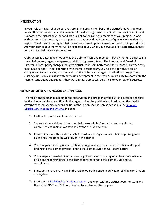#### **INTRODUCTION**

In your role as region chairperson, you are an important member of the district's leadership team. As an officer of the district and a member of the district governor's cabinet, you provide additional support to the district governor and act as a link to the zone chairpersons of your region. Along with the zone chairpersons, you support the creation and maintenance of quality clubs within the region. The duties of the region chairperson vary based upon the needs of the clubs in your district. Ask your district governor what will be expected of you while you serve as a key supportive mentor for the zone chairpersons you oversee.

Club success is determined not only by the club's officers and members, but by the full district team: zone chairperson, region chairperson and district governor team. The International Board of Directors adopts policy changes that give district leadership better tools to support clubs when they most need support. In collaboration with the full district team, you help to apply these policy changes and tools to safeguard the health of the clubs in your region. In addition to supporting existing clubs, you can assist with new club development in the region. Your ability to coordinate the team of zone chairs and support their work in these areas will be critical to your region's success.

#### **RESPONSIBILITIES OF A REGION CHAIRPERSON**

The region chairperson is subject to the supervision and direction of the district governor and shall be the chief administrative officer in the region, when the position is utilized during the district governor's term. Specific responsibilities of the region chairperson as defined in the [Standard](http://www.lionsclubs.org/resources/EN/pdfs/la4.pdf)  [District Constitution and By-Laws](http://www.lionsclubs.org/resources/EN/pdfs/la4.pdf) include:

- 1. Further the purposes of this association
- 2. Supervise the activities of the zone chairpersons in his/her region and any district committee chairpersons as assigned by the district governor
- 3. In coordination with the district GMT coordinator, play an active role in organizing new clubs and strengthening weak clubs in the district
- 4. Visit a regular meeting of each club in the region at least once while in office and report findings to the district governor and to the district GMT and GLT coordinators
- 5. Visit a regular board of directors meeting of each club in the region at least once while in office and report findings to the district governor and to the district GMT and GLT coordinators
- 6. Endeavor to have every club in the region operating under a duly adopted club constitution and by-laws
- 7. Promote the [Club Quality Initiative program](http://members.lionsclubs.org/EN/lions/strengthen-membership/club-excellence-process/index.php) and work with the district governor team and the district GMT and GLT coordinators to implement the program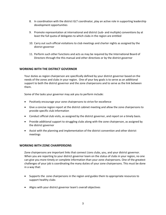- 8. In coordination with the district GLT coordinator, play an active role in supporting leadership development opportunities
- 9. Promote representation at international and district (sub- and multiple) conventions by at least the full quota of delegates to which clubs in the region are entitled
- 10. Carry out such official visitations to club meetings and charter nights as assigned by the district governor
- 11. Perform such other functions and acts as may be required by the International Board of Directors through the this manual and other directives or by the district governor

#### **WORKING WITH THE DISTRICT GOVERNOR**

Your duties as region chairperson are specifically defined by your district governor based on the needs of the zones and clubs in your region. One of your key goals is to serve as an additional support to both the district governor and the zone chairpersons and to serve as the link between them.

Some of the tasks your governor may ask you to perform include:

- Positively encourage your zone chairpersons to strive for excellence
- Give a concise region report at the district cabinet meeting and allow the zone chairpersons to provide specific club information
- Conduct official club visits, as assigned by the district governor, and report on a timely basis.
- Provide additional support to struggling clubs along with the zone chairperson, as assigned by the district governor
- Assist with the planning and implementation of the district convention and other district meetings

#### **WORKING WITH ZONE CHAIRPERSONS**

Zone chairpersons are important links that connect Lions clubs, you, and your district governor. When you are reporting to your district governor team on the status of clubs in your region, no one can give you more timely or complete information than your zone chairpersons. One of the greatest challenges of your job is coordinating the many duties of your zone chairpersons. This must be done in a way that:

- Supports the zone chairpersons in the region and guides them to appropriate resources to support healthy clubs
- Aligns with your district governor team's overall objectives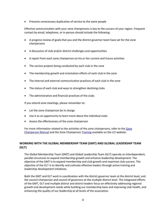• Prevents unnecessary duplication of service to the same people

Effective communication with your zone chairpersons is key to the success of your region. Frequent contact by email, telephone, or in-person should include the following:

- A progress review of goals that you and the district governor team have set for the zone chairpersons
- A discussion of club and/or district challenges and opportunities
- A report from each zone chairperson on his or her current and future activities
- The service projects being conducted by each club in the zone
- The membership growth and orientation efforts of each club in the zone
- The internal and external communication practices of each club in the zone
- The status of each club and ways to strengthen declining clubs
- The administrative and financial practices of the clubs

If you attend zone meetings, please remember to:

- Let the zone chairperson be in charge
- Use it as an opportunity to learn more about the individual clubs
- Assess the effectiveness of the zone chairperson

For more information related to the activities of the zone chairpersons, refer to th[e Zone](http://www.lionsclubs.org/resources/EN/pdfs/da100.pdf)  [Chairperson Manual](http://www.lionsclubs.org/resources/EN/pdfs/da100.pdf) and the Zone Chairperso[n Training](http://members.lionsclubs.org/EN/districts/zone-region-chairperson.php) available on the LCI website.

# **WORKING WITH THE GLOBAL MEMBERSHIP TEAM (GMT) AND GLOBAL LEADERSHIP TEAM (GLT)**

The Global Membership Team (GMT) and Global Leadership Team (GLT) operate as interdependent, parallel structures to expand membership growth and enhance leadership development. The objective of the GMT is to expand membership and club growth and maximize club success. The objective of the GLT is to identify and cultivate effective leaders through active training and leadership development initiatives.

Both the GMT and GLT work in coordination with the district governor team at the district level, and the council chairperson and council of governors at the multiple district level. The integrated efforts of the GMT, GLT and multiple district and district leaders focus on effectively addressing regional growth and development needs while building our membership base and improving club health, and enhancing the quality of our leadership at all levels of the association.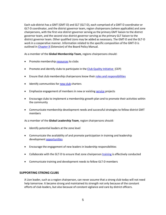Each sub-district has a GMT (GMT-D) and GLT (GLT-D), each comprised of a GMT-D coordinator or GLT-D coordinator, and the district governor team, region chairpersons (where applicable) and zone chairpersons, with the first vice district governor serving as the primary GMT liaison to the district governor team, and the second vice district governor serving as the primary GLT liaison to the district governor team. Other qualified Lions may be added as necessary. The GMT-D and the GLT-D work in a cooperative manner. Information related to the specific composition of the GMT-D is outlined i[n Chapter X](http://www.lionsclubs.org/resources/EN/pdfs/bpm_ch10.pdf) (Extension) of the Board Policy Manual.

As a member of the **Global Membership Team**, regions chairpersons should:

- Promote membershi[p resources](http://members.lionsclubs.org/EN/lions/index.php) to clubs
- Promote and identify clubs to participate in the [Club Quality Initiative](http://members.lionsclubs.org/EN/lions/strengthen-membership/club-excellence-process/index.php) (CEP)
- Ensure that club membership chairpersons know thei[r roles and responsibilities](http://www.lionsclubs.org/resources/EN/pdfs/me44.pdf)
- Identify communities for [new club](http://members.lionsclubs.org/EN/lions/new-clubs/index.php) charters
- Emphasize engagement of members in new or existin[g service](http://members.lionsclubs.org/EN/serve/index.php) projects
- Encourage clubs to implement a membership growth plan and to promote their activities within the community
- Communicate membership development needs and successful strategies to fellow district GMT members

As a member of the **Global Leadership Team**, region chairpersons should:

- Identify potential leaders at the zone level
- Communicate the availability of and promote participation in training and leadership development [opportunities](http://members.lionsclubs.org/EN/resources/leadership-resource-center/index.php)
- Encourage the engagement of new leaders in leadership responsibilities
- Collaborate with the GLT-D to ensure that zone chairperson [training](http://members.lionsclubs.org/EN/districts/zone-region-chairperson.php) is effectively conducted
- Communicate training and development needs to fellow GLT-D members

#### **SUPPORTING STRONG CLUBS**

A Lion leader, such as a region chairperson, can never assume that a strong club today will not need help tomorrow. It became strong and maintained its strength not only because of the constant efforts of club leaders, but also because of constant vigilance and care by district officers.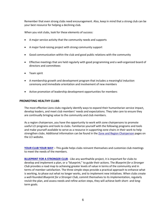Remember that even strong clubs need encouragement. Also, keep in mind that a strong club can be your best resource for helping a declining club.

When you visit clubs, look for these elements of success:

- A major service activity that the community needs and supports
- A major fund-raising project with strong community support
- Good communication within the club and good public relations with the community
- Effective meetings that are held regularly with good programming and a well-organized board of directors and committees
- Team spirit
- A membership growth and development program that includes a meaningful induction ceremony and immediate orientation and involvement of new members
- Active promotion of leadership development opportunities for members

#### **PROMOTING HEALTHY CLUBS**

The most effective Lions clubs regularly identify ways to expand their humanitarian service impact, develop leaders, and meet club members' needs and expectations. They take care to ensure they are continually bringing value to the community and club members.

As a region chairperson, you have the opportunity to work with zone chairpersons to promote useful LCI programs and tools to clubs. Familiarize yourself with the following programs and tools and make yourself available to serve as a resource in supporting zone chairs in their work to help strengthen clubs. Additional information can be found in the [Zone and Region Chairperson](http://members.lionsclubs.org/EN/districts/zone-region-chairperson.php) pages on the LCI website.

**[YOUR CLUB YOUR WAY](http://www.lionsclubs.org/resources/EN/pdfs/DA-YCYW.pdf)** – This guide helps clubs reinvent themselves and customize club meetings to meet the needs of the members.

**[BLUEPRINT FOR A STRONGER CLUB](http://members.lionsclubs.org/EN/lions/strengthen-membership/blueprint-for-stronger-club.php)** - Like any worthwhile project, it is important for clubs to develop and implement a plan, or a "blueprint," to guide their actions. The *Blueprint for a Stronger Club* provides a road map to achieving greater levels of value in terms of the community and in terms of member satisfaction. The three simple steps provide a practical approach to enhance what is working, to phase out what no longer works, and to implement new initiatives. When clubs create a well-founded *Blueprint for a Stronger Club*, commit themselves to its implementation, regularly revisit the plan, and assess needs and refine action steps, they will achieve both short- and longterm goals.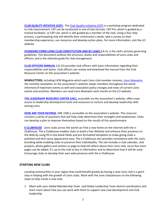**[CLUB QUALITY INTIATIVE \(CEP\)](http://members.lionsclubs.org/EN/lions/strengthen-membership/blueprint-for-stronger-club.php) -** The [Club Quality Initiative \(CEP\)](http://members.lionsclubs.org/EN/lions/strengthen-membership/club-excellence-process/index.php) is a workshop program dedicated to club improvement. CEP can be conducted in one of two formats: CEP Pro, which is guided by a trained facilitator, or CEP Lite, which is self-guided by a member of the club. Using a four step process, a participating club will identify their community's needs, take a survey on their membership experience, use resources and develop action plans. For more information, visit the LCI website.

**[STANDARD FORM LIONS CLUB CONSTITUTION AND BY-LAWS](http://www.lionsclubs.org/resources/EN/pdfs/la2.pdf)** (LA-2), is the club's primary governing guidelines. This document outlines the structure, duties and responsibilities of Lions clubs and officers, and is the ultimate guide for club management.

**[CLUB OFFICERS MANUAL](http://www.lionsclubs.org/resources/EN/pdfs/la15.pdf)** (LA-15) provides club officers with basic information regarding their responsibilities and duties. Club officers can review and download the manual from the Club Resource Center on the association's website.

**NEWSLETTERS,** including LION Magazine which each Lions club member receives, *[Lions Newswire](http://members.lionsclubs.org/EN/resources/newsletters/newswire.php)*, the monthly newsletter on the association's website, keeps members throughout the world informed of important events as well and association policy changes and news of current Lions events and activities. Members can read *Lions Newswire* each month on the LCI website.

**[THE LEADERSHIP RESOURCE CENTER \(LRC\),](http://members.lionsclubs.org/EN/resources/leadership-resource-center/index.php)** accessible via the association's website, offers easy access to leadership development tools and resources to nurture and develop leadership skills among Lions.

**[HOW ARE YOUR RATINGS](http://www.lionsclubs.org/resources/EN/pdfs/me15b.pdf)** (ME-15B) is accessible on the association's website. This resource contains a series of questions that will help clubs determine their strengths and weaknesses. Clubs can develop a plan to improve themselves based on the results of this questionnaire.

**[E-CLUBHOUSE](http://members.lionsclubs.org/EN/resources/communicate-your-activities/create-website-eclubhouse.php)** Lions clubs across the world can find a new home on the Internet with the e-Clubhouse. The e-Clubhouse enables clubs to build a free Website and enhance their presence on the Web by using fill-in-the-blank fields and pre-formatted templates to make giving clubs a polished and tech savvy appearance easy. The e-Clubhouse also provides consistency with the Lions branding while enabling clubs to preserve their individuality. The site includes a club calendar, club projects, photo gallery and contact us page to help tell others about their Lions club. Up to five more pages can be added. It's up to the club to key in information and to determine how it will be used. Encourage clubs to develop their own web presence with the e-Clubhouse.

#### **STARTING NEW CLUBS**

Locating communities in your region that could benefit greatly by having a new Lions club is a giant step in helping with the growth of Lions clubs. Work with the zone chairpersons on the following steps to help create a new club:

1. Meet with your Global Membership Team and Global Leadership Team district coordinators and learn more about how you can work with them to support new club development and club leadership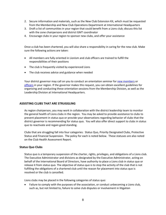- 2. Secure information and materials, such as the New Club Extension Kit, which must be requested from the Membership and New Club Operations Department at International Headquarters
- 3. Draft a list of communities in your region that could benefit from a Lions club; discuss this list with the zone chairpersons and district GMT coordinator
- 4. Encourage clubs in your region to sponsor new clubs, and offer your assistance

Once a club has been chartered, you will also share a responsibility in caring for the new club. Make sure the following actions are taken:

- All members are fully oriented in Lionism and club officers are trained to fulfill the responsibilities of their positions
- The club is frequently visited by experienced Lions
- The club receives advice and guidance when needed

Your district governor may call on you to conduct an orientation seminar fo[r new members](http://members.lionsclubs.org/EN/lions/strengthen-membership/member-orientation.php) or [officers](http://members.lionsclubs.org/EN/resources/leadership-resource-center/training-resources/club-officer-training-orientation.php) in your region. If the governor makes this request, you can obtain excellent guidelines for organizing and conducting these orientation sessions from the Membership Division, as well as the Leadership Division at International Headquarters.

#### **ASSISTING CLUBS THAT ARE STRUGGLING**

As region chairperson, you may work in collaboration with the district leadership team to monitor the general health of Lions clubs in the region. You may be asked to provide assistance to clubs to prevent placement in status quo or provide your observations regarding behavior of clubs that the district governor is recommending for status quo. You will also offer direct support to clubs in status quo to reactivate and regain good standing.

Clubs that are struggling fall into four categories: Status Quo, Priority Designated Clubs, Protective Status and Financial Suspension. The policy for each is noted below. These statuses are also noted on the Club Health Assessment Report.

#### **Status Quo Clubs**

Status quo is a temporary suspension of the charter, rights, privileges, and obligations of a Lions club. The Executive Administrator and divisions as designated by the Executive Administrator, acting on behalf of the International Board of Directors, have authority to place a Lions club in status quo or release it from status quo. The objective of status quo is to stop the activity of the club that is not fulfilling the obligations of a chartered club until the reason for placement into status quo is resolved or the club is cancelled.

Lions clubs may be placed in the following categories of status quo:

• Failure to comply with the purposes of the association, or conduct unbecoming a Lions club, such as, but not limited to, failure to solve club disputes or involvement in litigation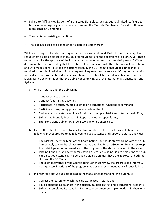- Failure to fulfill any obligations of a chartered Lions club, such as, but not limited to, failure to hold club meetings regularly, or failure to submit the Monthly Membership Report for three or more consecutive months;
- The club is non-existing or fictitious
- The club has asked to disband or participate in a club merger.

While clubs may be placed in status quo for the reasons mentioned, District Governors may also request that a club be placed in status quo for failure to fulfill the obligations of a Lions Club. These requests require the approval of the first vice district governor and the zone chairperson. Sufficient documentation demonstrating that the club is not in compliance with the International Constitution and By-laws or Board Policy and the actions taken by the DG Team to encourage compliance is required to be submitted along with the request. Requests must be received 90 days or more prior to the district and/or multiple district conventions. The club will be placed in status quo once there is significant documentation that the club is not complying with the International Constitution and By-Laws.

- a. While in status quo, the club can not
	- 1. Conduct service activities;
	- 2. Conduct fund-raising activities;
	- 3. Participate in district, multiple district, or international functions or seminars;
	- 4. Participate in any voting procedures outside of the club;
	- 5. Endorse or nominate a candidate for district, multiple district and international office;
	- 6. Submit the Monthly Membership Report and other report forms;
	- 7. Sponsor a Lions club, or organize a Leo club or a Lioness club.
- b. Every effort should be made to assist status quo clubs before charter cancellation. The following procedures are to be followed to give assistance and support to status quo clubs:
	- 1. The District Governor Team or the Coordinating Lion should start working with the club immediately toward its release from status quo. The District Governor Team must keep the district governor informed about the progress of the status quo clubs in the zone.
	- 2. If helpful, the district governor may assign a Certified Guiding Lion to help bring the club back into good standing. The Certified Guiding Lion must have the approval of both the club and the DG Team.
	- 3. The district governor or the Coordinating Lion must review the progress and inform LCI headquarters in writing of the progress made or the recommendation of cancellation.
- c. In order for a status quo club to regain the status of good standing, the club must:
	- 1. Correct the reason for which the club was placed in status quo;
	- 2. Pay all outstanding balances in the district, multiple district and international accounts;
	- 3. Submit a completed Reactivation Report to report membership or leadership changes if needed;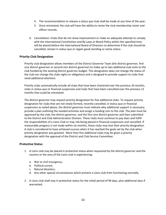- 4. The recommendation to release a status quo club shall be made at any time of the year;
- 5. Once reinstated, the club will have the ability to revise the club membership roster and officer records.
- d. Cancellation: Clubs that do not show improvement or make an adequate attempt to comply with the International Constitution and By-Laws or Board Policy within the specified time will be placed before the International Board of Directors to determine if the club should be cancelled, remain in status quo or regain good standing or active status.

# **Priority Club Designation**

Priority club designation allows members of the District Governor Team (the district governor, first vice district governor or second vice district governor) to make up to two additional club visits to the club funded by the existing district governor budget. This designation does not change the status of the club nor change the clubs rights or obligations and is designed to provide support to clubs that need additional attention.

Priority clubs automatically include all clubs that have been chartered over the previous 24 months, clubs in status quo or financial suspension and clubs that have been cancelled over the previous 12 months that could be reinstated.

The district governor may request priority designation for five additional clubs. To request priority designation for clubs that are not newly formed, recently cancelled, in status quo or financial suspension as noted above, the district governor must indicate why additional support is necessary, provide a plan outlining the needed activities and assign a Guiding Lion to the club. The plan must be approved by the club, the district governor, and the first vice district governor and then submitted to the District and Club Administration Division. These clubs must continue to pay dues and fulfill the responsibilities of a Lions Club or may risk being placed in financial suspension and cancelled. If measurable progress is not made within six months, these clubs may lose their priority designation. A club is considered to have achieved success when it has reached the goals set by the club when priority designation was granted. More than five additional clubs may be given a priority designation with the approval of the District and Club Service Committee.

# **Protective Status**

- 1. A Lions club may be placed in protective status when requested by the district governor and the country or the area of the Lions club is experiencing:
	- a. War or civil insurgency;
	- b. Political unrest;
	- c. Natural disasters;
	- d. Any other special circumstances which prevent a Lions club from functioning normally.
- 2. A Lions club shall stay in protective status for the initial period of 90 days, plus additional days if warranted.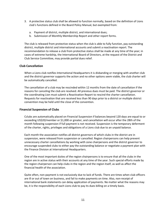- 3. A protective status club shall be allowed to function normally, based on the definition of Lions club's functions defined in the Board Policy Manual, but exempted from:
	- a. Payment of district, multiple district, and international dues;
	- b. Submission of Monthly Membership Report and other report forms.

The club is released from protective status when the club is able to fully function, pay outstanding district, multiple district and international accounts and submit a reactivation report. The recommendation to release a club from protective status shall be made at any time of the year; in cases of extreme hardship, the International Board of Directors, at the request of the District and Club Service Committee, may provide partial dues relief.

# **Club Cancellation**

When a Lions club notifies International Headquarters it is disbanding or merging with another club and the district governor supports the action and no other options seem viable, the club charter will be automatically cancelled.

The cancellation of a club may be rescinded within 12 months from the date of cancellation if the reasons for canceling the club are resolved. All previous dues must be paid. The district governor or the coordinating Lion must submit a Reactivation Report to rescind the charter cancellation. Requests for reactivation that are received less than 90 days prior to a district or multiple district convention may be held until the close of the convention.

# **Financial Suspension of Clubs**

Cclubs are automatically placed on Financial Suspension if balances beyond 120 days are equal to or exceeding US\$20/member or \$1,000 or greater, and cancellation will occur after the 28th of the month following suspension if full payment is not received. Suspension is the temporary deferment of the charter, rights, privileges and obligations of a Lions club due to an unpaid balance.

Each month the association notifies all district governors of which clubs in the district are in suspension, were released from suspension or cancelled. Region chairpersons can help prevent unnecessary charter cancellations by working with zone chairpersons and the district governor to encourage suspended clubs to either pay the outstanding balance or negotiate a payment plan with the Finance Division at International Headquarters.

One of the most important duties of the region chairpersons is to ensure that all the clubs in the region are in active status with their accounts at any time of the year. Such special efforts made by the region chairperson can help clubs in the region and the region itself, as well as affect the financial health of the association.

Quite often, non-payment is not exclusively due to lack of funds. There are times when club officers are ill or out of town on business, and fail to make payments on time. Also, non-receipt of international bank statements can delay application of payments. No matter what the reasons may be, it is the responsibility of each Lions club to pay its dues billing on a timely basis.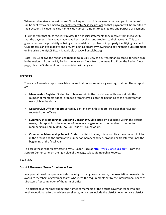When a club makes a deposit to an LCI banking account, it is necessary that a copy of the deposit slip be sent by fax or email to [accountsreceivable@lionsclubs.org](mailto:accountsreceivable@lionsclubs.org) so that payment will be credited to their account; include the club name, club number, amount to be credited and purpose of payment.

It is important that clubs regularly review the financial statements they receive from LCI to verify that the payments they have made have been received and credited to their account. This can greatly reduce the possibility of being suspended due to problems in properly identifying payments. Club officers can avoid delays and prevent posting errors by viewing and paying their club statement online using the MyLCI Site. It is available at [www.lionsclubs.org.](http://www.lionsclubs.org/)

Note: MyLCI allows the region chairperson to quickly view the current financial status for each club in the region. (From the My Region menu, select Clubs from the menu list. From the Region Clubs page, click the Statement button associated with any club.

## **REPORTS**

There are 4 valuable reports available online that do not require login or registration. These reports are:

- **Membership Register**: Sorted by club name within the district name, this report lists the number of members added, dropped or transferred since the beginning of the fiscal year for each club in the district
- **Missing Club Officer Report**: Sorted by district name, this report lists clubs that have not reported their officers
- **Summary of Membership Types and Gender by Club:** Sorted by club name within the district name, this report lists the number of members by gender and the number of discounted memberships (Family Unit, Leo Lion, Student, Young Adult)
- **Cumulative Membership Report :** Sorted by district name, this report lists the number of clubs in the district and the cumulative number of members added, dropped or transferred since the beginning of the fiscal year

To access these reports navigate to MyLCI Logon Page at<http://mylci.lionsclubs.org/>. From the Support Center panel on the right side of the page, select Membership Reports.

#### **AWARDS**

#### **[District Governor Team Excellence Award](http://members.lionsclubs.org/EN/lions/awards/excellence-awards/district-governor-team-excellence.php)**

In appreciation of the special efforts made by district governor teams, the association presents this award to members of governor teams who meet the requirements set by the International Board of Directors after completion of the term of office.

The district governor may submit the names of members of the district governor team who put forth exceptional effort to achieve excellence, which can include the district governor, vice district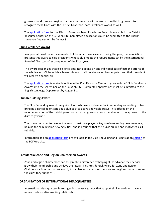governors and zone and region chairpersons. Awards will be sent to the district governor to recognize these Lions with the District Governor Team Excellence Award as well.

The [application form](http://www.lionsclubs.org/resources/EN/pdfs/da-50_fy-2014-15.pdf) for the District Governor Team Excellence Award is available in the District Resource Center on the LCI Web site. Completed applications must be submitted to the English Language Department by August 31.

#### **[Club Excellence Award](http://members.lionsclubs.org/EN/lions/awards/excellence-awards/club-excellence.php)**

In appreciation of the achievements of clubs which have excelled during the year, the association presents this award to club presidents whose club meets the requirements set by the International Board of Directors after completion of the fiscal year.

This award recognizes that excellence does not depend on one individual but reflects the efforts of the whole club. Clubs which achieve this award will receive a club banner patch and their president will receive a special pin.

The [application form](http://www.lionsclubs.org/resources/EN/pdfs/da-1_fy-2014-15.pdf) is available online in the Club Resource Center or you can type "Club Excellence Award" into the search box on the LCI Web site. Completed applications must be submitted to the English Language Department by August 31.

#### **Club Rebuilding Award**

The Club Rebuilding Award recognizes Lions who were instrumental in rebuilding an existing club or bringing a cancelled or status quo club back to active and viable status. It is offered on the recommendation of the district governor or district governor team member with the approval of the district governor.

The Lion nominated to receive the award must have played a key role in recruiting new members, helping the club develop new activities, and in ensuring that the club is guided and motivated as it rebuilds.

Information and a[n application form](http://www.lionsclubs.org/resources/EN/pdfs/da972.pdf) are available in the Club Rebuilding and Reactivation [section](http://members.lionsclubs.org/EN/districts/district-governors/club-rebuilding-reactiviation.php) of the LCI Web site.

#### **[Presidential Zone and Region Chairperson Awards](http://members.lionsclubs.org/EN/lions/awards/zone-region-awards/index.php)**

Zone and region chairpersons can truly make a difference by helping clubs advance their service, grow their membership and achieve their goals. This Presidential Award for Zone and Region Chairpersons is more than an award, it is a plan for success for the zone and region chairpersons and the clubs they support! .

#### **ORGANIZATION OF INTERNATIONAL HEADQUARTERS**

International Headquarters is arranged into several groups that support similar goals and have a natural collaborative working relationship.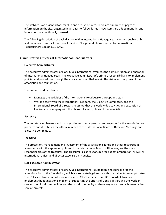The website is an essential tool for club and district officers. There are hundreds of pages of information on the site, organized in an easy-to-follow format. New items are added monthly, and innovations are continually pursued.

The following description of each division within International Headquarters can also enable clubs and members to contact the correct division. The general phone number for International Headquarters is (630) 571- 5466.

# **Administrative Officers at International Headquarters**

## **Executive Administrator**

The executive administrator of Lions Clubs International oversees the administration and operation of International Headquarters. The executive administrator's primary responsibility is to implement policies and procedures through the association staff that sustain the vision and purposes of the association and foundation.

The executive administrator:

- Manages the activities of the International Headquarters groups and staff
- Works closely with the International President, the Executive Committee, and the International Board of Directors to assure that the worldwide activities and expansion of Lionism are in keeping with the philosophy and policies of the association

# **Secretary**

The secretary implements and manages the corporate governance programs for the association and prepares and distributes the official minutes of the International Board of Directors Meetings and Executive Committee.

#### **Treasurer**

The protection, management and investment of the association's funds and other resources in accordance with the approved policies of the International Board of Directors, are the main responsibilities of the treasurer. The treasurer is also responsible for budget preparation, as well as international officer and director expense claim audits.

# **LCIF Executive Administrator**

The executive administrator of Lions Clubs International Foundation is responsible for the administration of the foundation, which is a separate legal entity with charitable, tax-exempt status. The LCIF executive administrator works with LCIF Chairperson and LCIF Board of Trustees to implement the foundation's mission of supporting the efforts of Lions clubs around the world in serving their local communities and the world community as they carry out essential humanitarian service projects.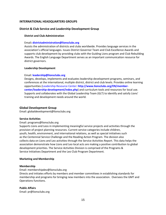# **INTERNATIONAL HEADQUARTERS GROUPS**

## **District & Club Service and Leadership Development Group**

#### **District and Club Administration**

#### Email**: districtadministration@lionsclubs.org**

Assists the administration of districts and clubs worldwide. Provides language services in the association's official languages. Issues District Governor Team and Club Excellence Awards and supports club development by providing clubs with the Guiding Lions program and Club Rebuilding Awards. The English Language Department serves as an important communication resource for district governors.

#### **Leadership Development**

#### Email: **leadership@lionsclubs.org**

Designs, develops, implements and evaluates leadership development programs, seminars, and conferences at the international, multiple district, district and club levels. Provides online learning opportunities (Leadership Resource Center: **http://www.lionsclubs.org/EN/membercenter/leadership-development/index.php**) and curriculum tools and resources for local use. Supports and collaborates with the Global Leadership Team (GLT) to identify and satisfy Lions' training and development needs around the world.

#### **Global Development Group**

Email: globaldevelopment@lionsclubs.org

#### **Service Activities**

#### Email: programs@lionsclubs.org

Supports Lions and Leos in implementing meaningful service projects and activities through the provision of project planning resources. Current service categories include children, youth, health, environment, and international relations, as well as special initiatives such as the Centennial Service Challenge and the Reading Action Program. The division also collects data on Lions and Leo activities through the Service Activities Report. This data helps the association demonstrate how Lions and Leo local acts are making a positive contribution to global development priorities. The Service Activities Division is comprised of the Programs & Service Initiatives Department and the Leo Club Program Department.

#### **Marketing and Membership**

#### **Membership**

#### Email: membershipdev@lionsclubs.org

Directs and initiates efforts by members and member committees in establishing standards for membership and programs for bringing new members into the association. Oversees the GMT and Operations functions.

#### **Public Affairs**

Email: pr@lionsclubs.org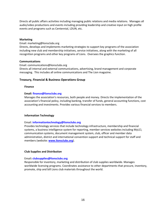Directs all public affairs activities including managing public relations and media relations. Manages all audio/video productions and events including providing leadership and creative input on high profile events and programs such as Centennial, LDUN, etc.

#### **Marketing**

#### Email: marketing@lionsclubs.org

Directs, develops and implements marketing strategies to support key programs of the association including new club and membership initiatives, service initiatives, along with the marketing of all recognition programs and other key programs of Lions. Oversees the graphics function.

#### **Communications**

Email: communications@lionsclubs.org Directs all internal and external communications, advertising, brand management and corporate messaging. This includes all online communications and The Lion magazine.

## **Treasury, Financial & Business Operations Group**

#### **Finance**

#### **Email: finance@lionsclubs.org**

Manages the association's resources, both people and money. Directs the implementation of the association's financial policy, including banking, transfer of funds, general accounting functions, cost accounting and investments. Provides various financial services to members.

#### **Information Technology**

#### Email: **informationtechnology@lionsclubs.org**

Provides technology services that include technology infrastructure, membership and financial systems, a business intelligence system for reporting, member services websites including MyLCI, communication systems, document management system, club, officer and member data administration, district and international convention support and technical support for staff and members (website: **[www.lionsclubs.org](http://www.lionsclubs.org/)**).

#### **Club Supplies and Distribution**

#### Email**: clubsupplies@lionsclubs.org**

Responsible for inventory, marketing and distribution of club supplies worldwide. Manages worldwide licensing programs. Coordinates assistance to other departments that procure, inventory, promote, ship and bill Lions club materials throughout the world.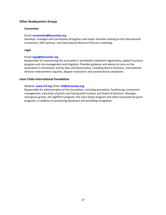## **Other Headquarters Groups**

#### **Convention**

#### Email**: convention@lionsclubs.org**

Develops, manages and coordinates all logistics and major activities relating to the international convention, DGE Seminar, and International Board of Directors meetings.

#### **Legal**

#### Email**: legal@lionsclubs.org**

Responsible for maintaining the association's worldwide trademark registrations, global insurance program and risk management and litigation. Provides guidance and advice to Lions on the association's constitution and by-laws and board policy, including district elections, international director endorsement inquiries, dispute resolutions and constitutional complaints

#### **Lions Clubs International Foundation**

Website: **www.lcif.org** Email: **lcif@lionsclubs.org** 

Responsible for administration of the foundation, including promotion, fundraising, investment management, execution of grants and liaising with trustees and board of directors. Manages emergency grants, the SightFirst program, the Lions Quest program and other humanitarian grant programs, in addition to processing donations and providing recognition.